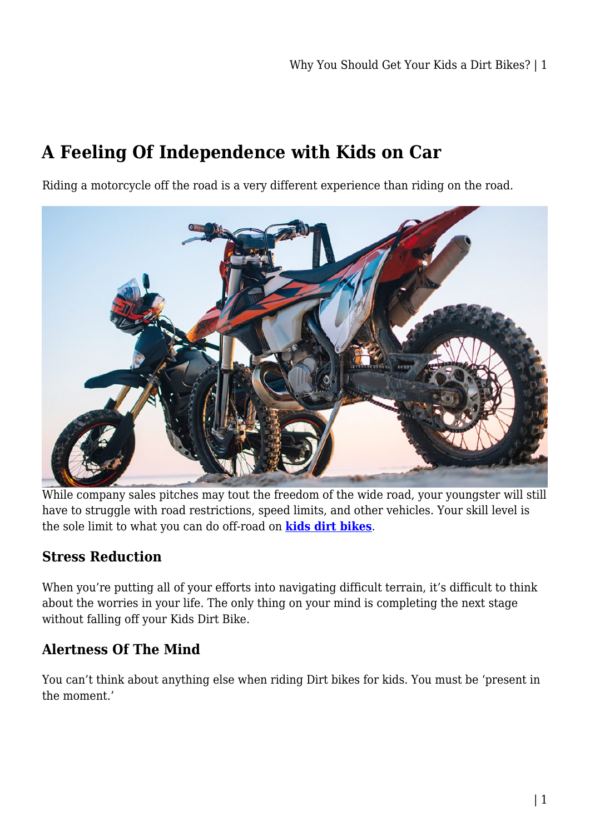# **A Feeling Of Independence with Kids on Car**

Riding a motorcycle off the road is a very different experience than riding on the road.



While company sales pitches may tout the freedom of the wide road, your youngster will still have to struggle with road restrictions, speed limits, and other vehicles. Your skill level is the sole limit to what you can do off-road on **[kids dirt bikes](https://kidsrideoncar.com.au/dirt-bike/)**.

#### **Stress Reduction**

When you're putting all of your efforts into navigating difficult terrain, it's difficult to think about the worries in your life. The only thing on your mind is completing the next stage without falling off your Kids Dirt Bike.

#### **Alertness Of The Mind**

You can't think about anything else when riding Dirt bikes for kids. You must be 'present in the moment.'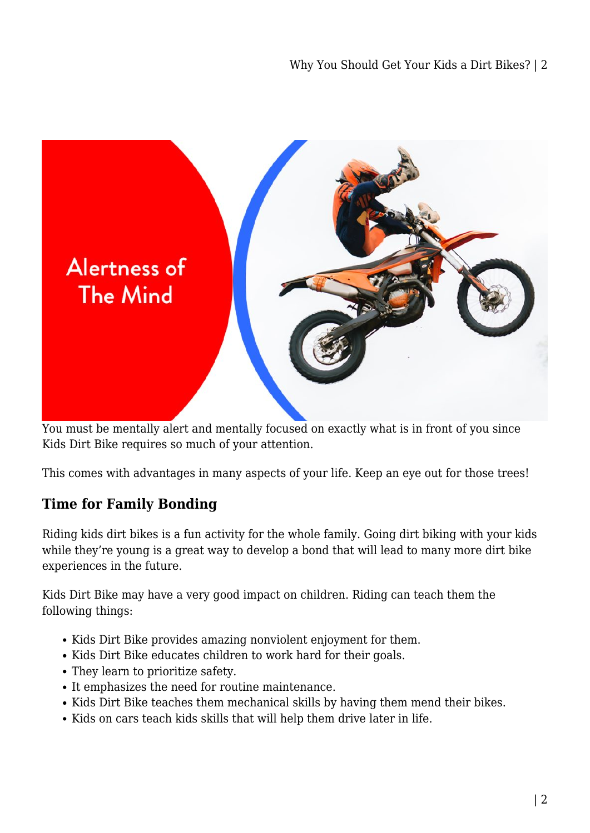

You must be mentally alert and mentally focused on exactly what is in front of you since Kids Dirt Bike requires so much of your attention.

This comes with advantages in many aspects of your life. Keep an eye out for those trees!

#### **Time for Family Bonding**

Riding kids dirt bikes is a fun activity for the whole family. Going dirt biking with your kids while they're young is a great way to develop a bond that will lead to many more dirt bike experiences in the future.

Kids Dirt Bike may have a very good impact on children. Riding can teach them the following things:

- Kids Dirt Bike provides amazing nonviolent enjoyment for them.
- Kids Dirt Bike educates children to work hard for their goals.
- They learn to prioritize safety.
- It emphasizes the need for routine maintenance.
- Kids Dirt Bike teaches them mechanical skills by having them mend their bikes.
- Kids on cars teach kids skills that will help them drive later in life.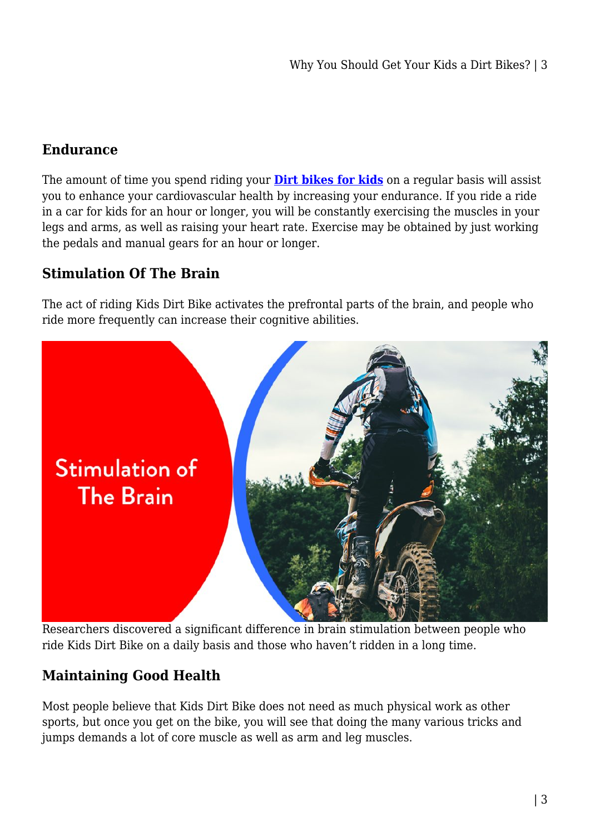### **Endurance**

The amount of time you spend riding your **[Dirt bikes for kids](https://kidsrideoncar.com.au/dirt-bike/)** on a regular basis will assist you to enhance your cardiovascular health by increasing your endurance. If you ride a ride in a car for kids for an hour or longer, you will be constantly exercising the muscles in your legs and arms, as well as raising your heart rate. Exercise may be obtained by just working the pedals and manual gears for an hour or longer.

# **Stimulation Of The Brain**

The act of riding Kids Dirt Bike activates the prefrontal parts of the brain, and people who ride more frequently can increase their cognitive abilities.



Researchers discovered a significant difference in brain stimulation between people who ride Kids Dirt Bike on a daily basis and those who haven't ridden in a long time.

# **Maintaining Good Health**

Most people believe that Kids Dirt Bike does not need as much physical work as other sports, but once you get on the bike, you will see that doing the many various tricks and jumps demands a lot of core muscle as well as arm and leg muscles.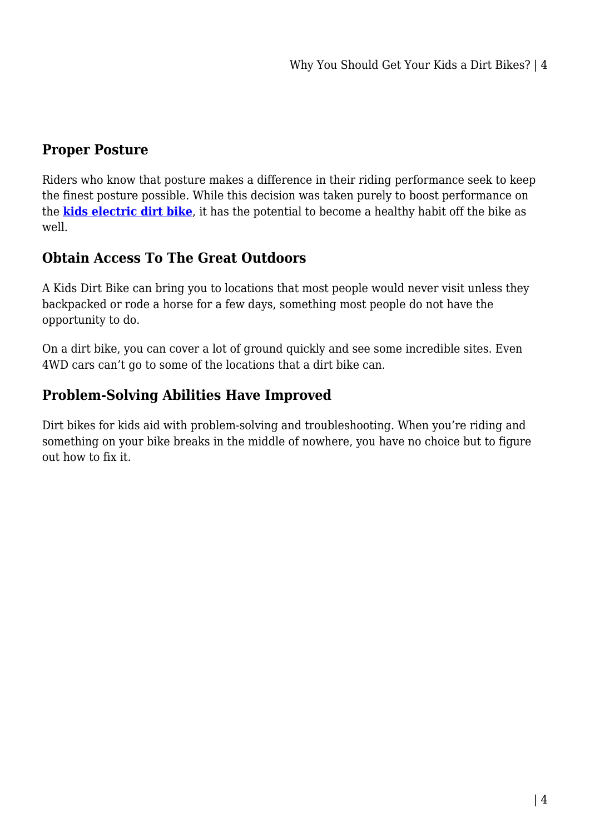#### **Proper Posture**

Riders who know that posture makes a difference in their riding performance seek to keep the finest posture possible. While this decision was taken purely to boost performance on the **[kids electric dirt bike](https://kidsrideoncar.com.au/dirt-bike/)**, it has the potential to become a healthy habit off the bike as well.

#### **Obtain Access To The Great Outdoors**

A Kids Dirt Bike can bring you to locations that most people would never visit unless they backpacked or rode a horse for a few days, something most people do not have the opportunity to do.

On a dirt bike, you can cover a lot of ground quickly and see some incredible sites. Even 4WD cars can't go to some of the locations that a dirt bike can.

#### **Problem-Solving Abilities Have Improved**

Dirt bikes for kids aid with problem-solving and troubleshooting. When you're riding and something on your bike breaks in the middle of nowhere, you have no choice but to figure out how to fix it.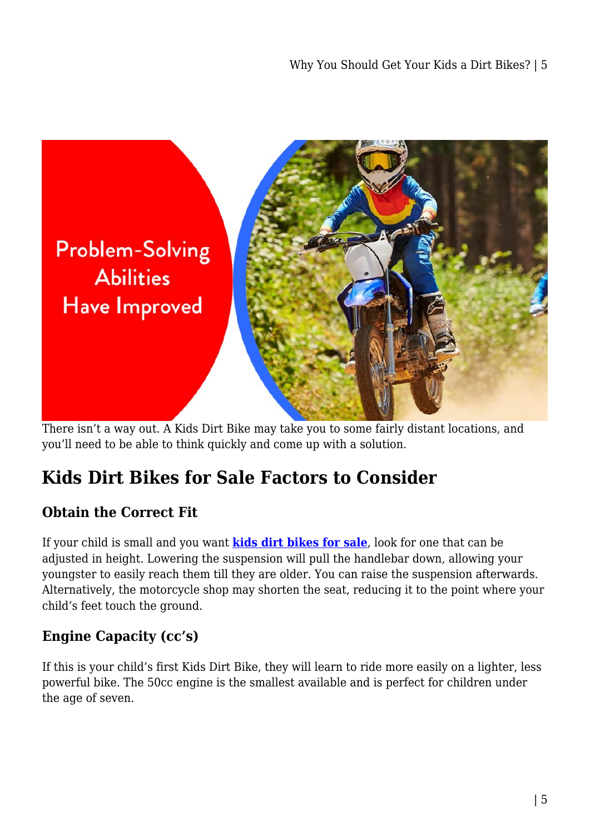

There isn't a way out. A Kids Dirt Bike may take you to some fairly distant locations, and you'll need to be able to think quickly and come up with a solution.

# **Kids Dirt Bikes for Sale Factors to Consider**

#### **Obtain the Correct Fit**

If your child is small and you want **[kids dirt bikes for sale](https://kidsrideoncar.com.au/dirt-bike/)**, look for one that can be adjusted in height. Lowering the suspension will pull the handlebar down, allowing your youngster to easily reach them till they are older. You can raise the suspension afterwards. Alternatively, the motorcycle shop may shorten the seat, reducing it to the point where your child's feet touch the ground.

# **Engine Capacity (cc's)**

If this is your child's first Kids Dirt Bike, they will learn to ride more easily on a lighter, less powerful bike. The 50cc engine is the smallest available and is perfect for children under the age of seven.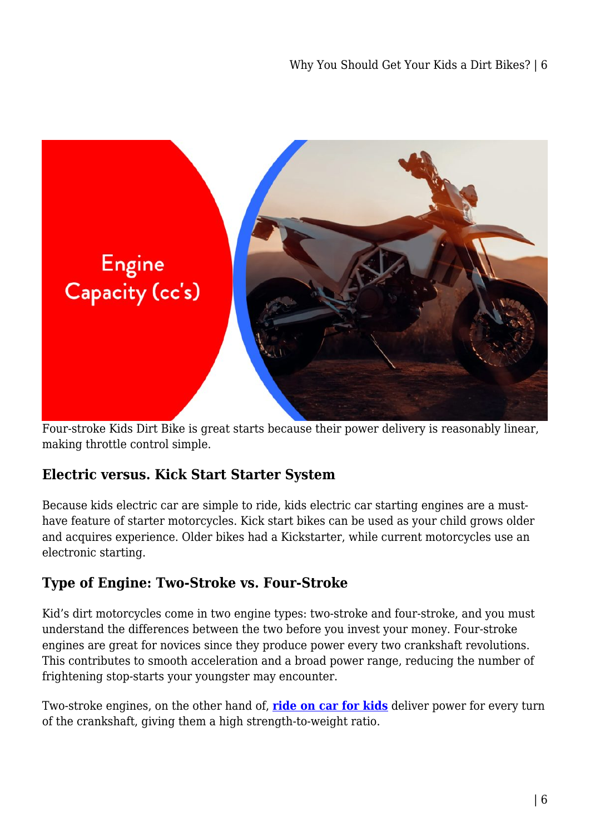

Four-stroke Kids Dirt Bike is great starts because their power delivery is reasonably linear, making throttle control simple.

#### **Electric versus. Kick Start Starter System**

Because kids electric car are simple to ride, kids electric car starting engines are a musthave feature of starter motorcycles. Kick start bikes can be used as your child grows older and acquires experience. Older bikes had a Kickstarter, while current motorcycles use an electronic starting.

#### **Type of Engine: Two-Stroke vs. Four-Stroke**

Kid's dirt motorcycles come in two engine types: two-stroke and four-stroke, and you must understand the differences between the two before you invest your money. Four-stroke engines are great for novices since they produce power every two crankshaft revolutions. This contributes to smooth acceleration and a broad power range, reducing the number of frightening stop-starts your youngster may encounter.

Two-stroke engines, on the other hand of, **[ride on car for kids](https://kidsrideoncar.com.au/)** deliver power for every turn of the crankshaft, giving them a high strength-to-weight ratio.